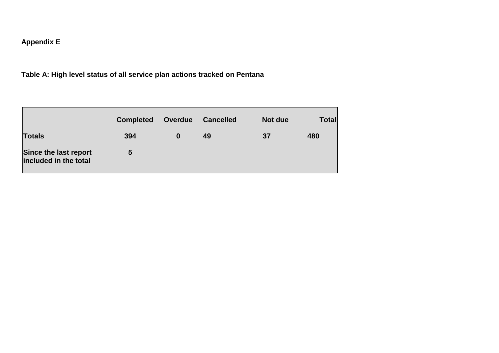# **Appendix E**

# **Table A: High level status of all service plan actions tracked on Pentana**

|                                                | <b>Completed</b> | <b>Overdue</b> | <b>Cancelled</b> | Not due | <b>Total</b> |
|------------------------------------------------|------------------|----------------|------------------|---------|--------------|
| Totals                                         | 394              | 0              | 49               | 37      | 480          |
| Since the last report<br>included in the total | 5                |                |                  |         |              |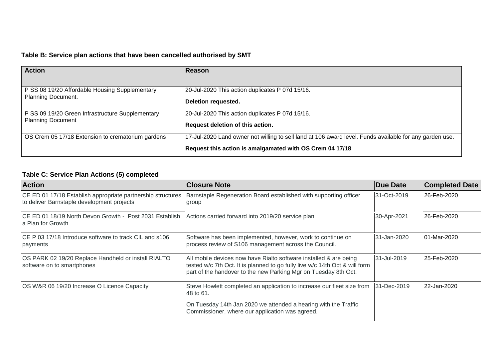## **Table B: Service plan actions that have been cancelled authorised by SMT**

| <b>Action</b>                                     | Reason                                                                                                                                                              |
|---------------------------------------------------|---------------------------------------------------------------------------------------------------------------------------------------------------------------------|
| P SS 08 19/20 Affordable Housing Supplementary    | 20-Jul-2020 This action duplicates P 07d 15/16.                                                                                                                     |
| <b>Planning Document.</b>                         | Deletion requested.                                                                                                                                                 |
| P SS 09 19/20 Green Infrastructure Supplementary  | 20-Jul-2020 This action duplicates P 07d 15/16.                                                                                                                     |
| <b>Planning Document</b>                          | Request deletion of this action.                                                                                                                                    |
| OS Crem 05 17/18 Extension to crematorium gardens | 17-Jul-2020 Land owner not willing to sell land at 106 award level. Funds available for any garden use.<br>Request this action is amalgamated with OS Crem 04 17/18 |

## **Table C: Service Plan Actions (5) completed**

| <b>Action</b>                                                                                             | <b>Closure Note</b>                                                                                                                                                                                                 | <b>Due Date</b> | <b>Completed Date</b> |
|-----------------------------------------------------------------------------------------------------------|---------------------------------------------------------------------------------------------------------------------------------------------------------------------------------------------------------------------|-----------------|-----------------------|
| CE ED 01 17/18 Establish appropriate partnership structures<br>to deliver Barnstaple development projects | Barnstaple Regeneration Board established with supporting officer<br>group                                                                                                                                          | 31-Oct-2019     | l26-Feb-2020          |
| ICE ED 01 18/19 North Devon Growth - Post 2031 Establish<br>a Plan for Growth                             | Actions carried forward into 2019/20 service plan                                                                                                                                                                   | 30-Apr-2021     | 26-Feb-2020           |
| CE P 03 17/18 Introduce software to track CIL and s106<br>payments                                        | Software has been implemented, however, work to continue on<br>process review of S106 management across the Council.                                                                                                | 31-Jan-2020     | 01-Mar-2020           |
| OS PARK 02 19/20 Replace Handheld or install RIALTO<br>software on to smartphones                         | All mobile devices now have Rialto software installed & are being<br>tested w/c 7th Oct. It is planned to go fully live w/c 14th Oct & will form<br>part of the handover to the new Parking Mgr on Tuesday 8th Oct. | 31-Jul-2019     | 25-Feb-2020           |
| OS W&R 06 19/20 Increase O Licence Capacity                                                               | Steve Howlett completed an application to increase our fleet size from<br>48 to 61.                                                                                                                                 | 31-Dec-2019     | 22-Jan-2020           |
|                                                                                                           | On Tuesday 14th Jan 2020 we attended a hearing with the Traffic<br>Commissioner, where our application was agreed.                                                                                                  |                 |                       |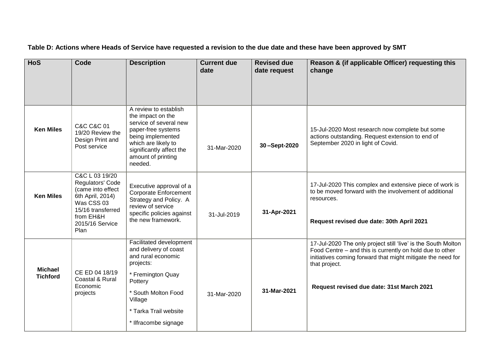| <b>HoS</b>                        | Code                                                                                                                                                   | <b>Description</b>                                                                                                                                                                                     | <b>Current due</b><br>date | <b>Revised due</b><br>date request | Reason & (if applicable Officer) requesting this<br>change                                                                                                                                                                                             |
|-----------------------------------|--------------------------------------------------------------------------------------------------------------------------------------------------------|--------------------------------------------------------------------------------------------------------------------------------------------------------------------------------------------------------|----------------------------|------------------------------------|--------------------------------------------------------------------------------------------------------------------------------------------------------------------------------------------------------------------------------------------------------|
| <b>Ken Miles</b>                  | <b>C&amp;C C&amp;C 01</b><br>19/20 Review the<br>Design Print and<br>Post service                                                                      | A review to establish<br>the impact on the<br>service of several new<br>paper-free systems<br>being implemented<br>which are likely to<br>significantly affect the<br>amount of printing<br>needed.    | 31-Mar-2020                | 30-Sept-2020                       | 15-Jul-2020 Most research now complete but some<br>actions outstanding. Request extension to end of<br>September 2020 in light of Covid.                                                                                                               |
| <b>Ken Miles</b>                  | C&C L 03 19/20<br>Regulators' Code<br>(came into effect<br>6th April, 2014)<br>Was CSS 03<br>15/16 transferred<br>from EH&H<br>2015/16 Service<br>Plan | Executive approval of a<br><b>Corporate Enforcement</b><br>Strategy and Policy. A<br>review of service<br>specific policies against<br>the new framework.                                              | 31-Jul-2019                | 31-Apr-2021                        | 17-Jul-2020 This complex and extensive piece of work is<br>to be moved forward with the involvement of additional<br>resources.<br>Request revised due date: 30th April 2021                                                                           |
| <b>Michael</b><br><b>Tichford</b> | CE ED 04 18/19<br>Coastal & Rural<br>Economic<br>projects                                                                                              | Facilitated development<br>and delivery of coast<br>and rural economic<br>projects:<br>* Fremington Quay<br>Pottery<br>* South Molton Food<br>Village<br>* Tarka Trail website<br>* Ilfracombe signage | 31-Mar-2020                | 31-Mar-2021                        | 17-Jul-2020 The only project still 'live' is the South Molton<br>Food Centre – and this is currently on hold due to other<br>initiatives coming forward that might mitigate the need for<br>that project.<br>Request revised due date: 31st March 2021 |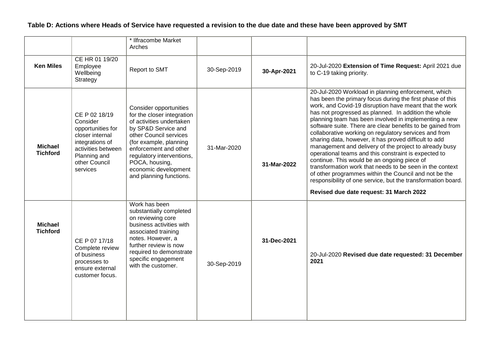|                                   |                                                                                                                                                         | * Ilfracombe Market<br>Arches                                                                                                                                                                                                                                                          |             |             |                                                                                                                                                                                                                                                                                                                                                                                                                                                                                                                                                                                                                                                                                                                                                                                                                                                                              |
|-----------------------------------|---------------------------------------------------------------------------------------------------------------------------------------------------------|----------------------------------------------------------------------------------------------------------------------------------------------------------------------------------------------------------------------------------------------------------------------------------------|-------------|-------------|------------------------------------------------------------------------------------------------------------------------------------------------------------------------------------------------------------------------------------------------------------------------------------------------------------------------------------------------------------------------------------------------------------------------------------------------------------------------------------------------------------------------------------------------------------------------------------------------------------------------------------------------------------------------------------------------------------------------------------------------------------------------------------------------------------------------------------------------------------------------------|
| <b>Ken Miles</b>                  | CE HR 01 19/20<br>Employee<br>Wellbeing<br>Strategy                                                                                                     | Report to SMT                                                                                                                                                                                                                                                                          | 30-Sep-2019 | 30-Apr-2021 | 20-Jul-2020 Extension of Time Request: April 2021 due<br>to C-19 taking priority.                                                                                                                                                                                                                                                                                                                                                                                                                                                                                                                                                                                                                                                                                                                                                                                            |
| <b>Michael</b><br><b>Tichford</b> | CE P 02 18/19<br>Consider<br>opportunities for<br>closer internal<br>integrations of<br>activities between<br>Planning and<br>other Council<br>services | Consider opportunities<br>for the closer integration<br>of activities undertaken<br>by SP&D Service and<br>other Council services<br>(for example, planning<br>enforcement and other<br>regulatory interventions,<br>POCA, housing,<br>economic development<br>and planning functions. | 31-Mar-2020 | 31-Mar-2022 | 20-Jul-2020 Workload in planning enforcement, which<br>has been the primary focus during the first phase of this<br>work, and Covid-19 disruption have meant that the work<br>has not progressed as planned. In addition the whole<br>planning team has been involved in implementing a new<br>software suite. There are clear benefits to be gained from<br>collaborative working on regulatory services and from<br>sharing data, however, it has proved difficult to add<br>management and delivery of the project to already busy<br>operational teams and this constraint is expected to<br>continue. This would be an ongoing piece of<br>transformation work that needs to be seen in the context<br>of other programmes within the Council and not be the<br>responsibility of one service, but the transformation board.<br>Revised due date request: 31 March 2022 |
| <b>Michael</b><br><b>Tichford</b> | CE P 07 17/18<br>Complete review<br>of business<br>processes to<br>ensure external<br>customer focus.                                                   | Work has been<br>substantially completed<br>on reviewing core<br>business activities with<br>associated training<br>notes. However, a<br>further review is now<br>required to demonstrate<br>specific engagement<br>with the customer.                                                 | 30-Sep-2019 | 31-Dec-2021 | 20-Jul-2020 Revised due date requested: 31 December<br>2021                                                                                                                                                                                                                                                                                                                                                                                                                                                                                                                                                                                                                                                                                                                                                                                                                  |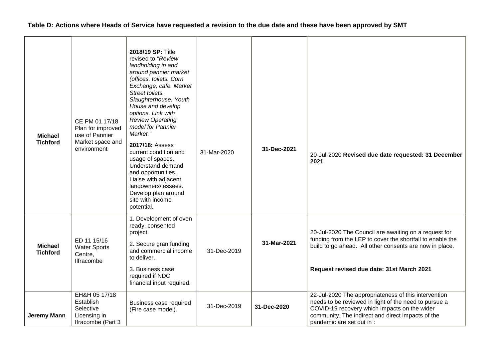| <b>Michael</b><br><b>Tichford</b> | CE PM 01 17/18<br>Plan for improved<br>use of Pannier<br>Market space and<br>environment | 2018/19 SP: Title<br>revised to "Review<br>landholding in and<br>around pannier market<br>(offices, toilets. Corn<br>Exchange, cafe. Market<br>Street toilets.<br>Slaughterhouse. Youth<br>House and develop<br>options. Link with<br>Review Operating<br>model for Pannier<br>Market."<br>2017/18: Assess<br>current condition and<br>usage of spaces.<br>Understand demand<br>and opportunities.<br>Liaise with adjacent<br>landowners/lessees.<br>Develop plan around<br>site with income<br>potential. | 31-Mar-2020 | 31-Dec-2021 | 20-Jul-2020 Revised due date requested: 31 December<br>2021                                                                                                                                                                                     |
|-----------------------------------|------------------------------------------------------------------------------------------|------------------------------------------------------------------------------------------------------------------------------------------------------------------------------------------------------------------------------------------------------------------------------------------------------------------------------------------------------------------------------------------------------------------------------------------------------------------------------------------------------------|-------------|-------------|-------------------------------------------------------------------------------------------------------------------------------------------------------------------------------------------------------------------------------------------------|
| <b>Michael</b><br><b>Tichford</b> | ED 11 15/16<br><b>Water Sports</b><br>Centre,<br><b>Ilfracombe</b>                       | 1. Development of oven<br>ready, consented<br>project.<br>2. Secure gran funding<br>and commercial income<br>to deliver.<br>3. Business case<br>required if NDC<br>financial input required.                                                                                                                                                                                                                                                                                                               | 31-Dec-2019 | 31-Mar-2021 | 20-Jul-2020 The Council are awaiting on a request for<br>funding from the LEP to cover the shortfall to enable the<br>build to go ahead. All other consents are now in place.<br>Request revised due date: 31st March 2021                      |
| Jeremy Mann                       | EH&H 05 17/18<br>Establish<br>Selective<br>Licensing in<br>Ifracombe (Part 3             | Business case required<br>(Fire case model).                                                                                                                                                                                                                                                                                                                                                                                                                                                               | 31-Dec-2019 | 31-Dec-2020 | 22-Jul-2020 The appropriateness of this intervention<br>needs to be reviewed in light of the need to pursue a<br>COVID-19 recovery which impacts on the wider<br>community. The indirect and direct impacts of the<br>pandemic are set out in : |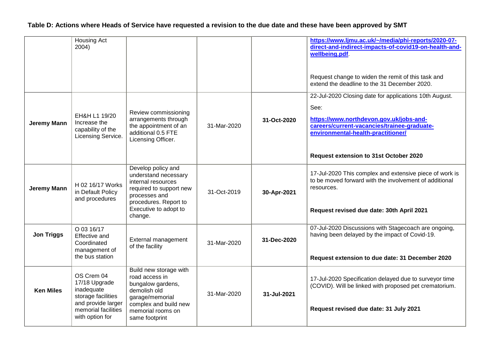|                    | Housing Act<br>2004)                                                                                                            |                                                                                                                                                                           |             |             | https://www.ljmu.ac.uk/~/media/phi-reports/2020-07-<br>direct-and-indirect-impacts-of-covid19-on-health-and-<br>wellbeing.pdf<br>Request change to widen the remit of this task and<br>extend the deadline to the 31 December 2020.      |
|--------------------|---------------------------------------------------------------------------------------------------------------------------------|---------------------------------------------------------------------------------------------------------------------------------------------------------------------------|-------------|-------------|------------------------------------------------------------------------------------------------------------------------------------------------------------------------------------------------------------------------------------------|
| Jeremy Mann        | EH&H L1 19/20<br>Increase the<br>capability of the<br>Licensing Service.                                                        | Review commissioning<br>arrangements through<br>the appointment of an<br>additional 0.5 FTE<br>Licensing Officer.                                                         | 31-Mar-2020 | 31-Oct-2020 | 22-Jul-2020 Closing date for applications 10th August.<br>See:<br>https://www.northdevon.gov.uk/jobs-and-<br>careers/current-vacancies/trainee-graduate-<br>environmental-health-practitioner/<br>Request extension to 31st October 2020 |
| <b>Jeremy Mann</b> | H 02 16/17 Works<br>in Default Policy<br>and procedures                                                                         | Develop policy and<br>understand necessary<br>internal resources<br>required to support new<br>processes and<br>procedures. Report to<br>Executive to adopt to<br>change. | 31-Oct-2019 | 30-Apr-2021 | 17-Jul-2020 This complex and extensive piece of work is<br>to be moved forward with the involvement of additional<br>resources.<br>Request revised due date: 30th April 2021                                                             |
| <b>Jon Triggs</b>  | O 03 16/17<br><b>Effective and</b><br>Coordinated<br>management of<br>the bus station                                           | External management<br>of the facility                                                                                                                                    | 31-Mar-2020 | 31-Dec-2020 | 07-Jul-2020 Discussions with Stagecoach are ongoing,<br>having been delayed by the impact of Covid-19.<br>Request extension to due date: 31 December 2020                                                                                |
| <b>Ken Miles</b>   | OS Crem 04<br>17/18 Upgrade<br>inadequate<br>storage facilities<br>and provide larger<br>memorial facilities<br>with option for | Build new storage with<br>road access in<br>bungalow gardens,<br>demolish old<br>garage/memorial<br>complex and build new<br>memorial rooms on<br>same footprint          | 31-Mar-2020 | 31-Jul-2021 | 17-Jul-2020 Specification delayed due to surveyor time<br>(COVID). Will be linked with proposed pet crematorium.<br>Request revised due date: 31 July 2021                                                                               |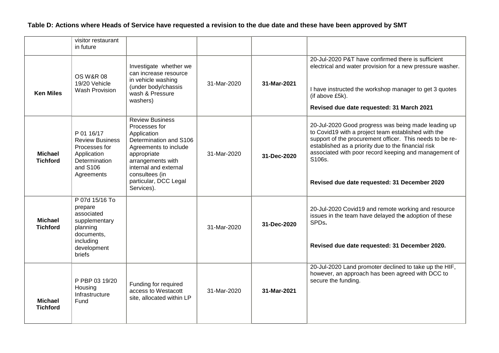|                                   | visitor restaurant<br>in future                                                                                          |                                                                                                                                                                                                                                 |             |             |                                                                                                                                                                                                                                                                                                                                                  |
|-----------------------------------|--------------------------------------------------------------------------------------------------------------------------|---------------------------------------------------------------------------------------------------------------------------------------------------------------------------------------------------------------------------------|-------------|-------------|--------------------------------------------------------------------------------------------------------------------------------------------------------------------------------------------------------------------------------------------------------------------------------------------------------------------------------------------------|
| <b>Ken Miles</b>                  | <b>OS W&amp;R 08</b><br>19/20 Vehicle<br><b>Wash Provision</b>                                                           | Investigate whether we<br>can increase resource<br>in vehicle washing<br>(under body/chassis<br>wash & Pressure<br>washers)                                                                                                     | 31-Mar-2020 | 31-Mar-2021 | 20-Jul-2020 P&T have confirmed there is sufficient<br>electrical and water provision for a new pressure washer.<br>I have instructed the workshop manager to get 3 quotes<br>(if above £5k).<br>Revised due date requested: 31 March 2021                                                                                                        |
| <b>Michael</b><br><b>Tichford</b> | P 01 16/17<br><b>Review Business</b><br>Processes for<br>Application<br>Determination<br>and S106<br>Agreements          | <b>Review Business</b><br>Processes for<br>Application<br>Determination and S106<br>Agreements to include<br>appropriate<br>arrangements with<br>internal and external<br>consultees (in<br>particular, DCC Legal<br>Services). | 31-Mar-2020 | 31-Dec-2020 | 20-Jul-2020 Good progress was being made leading up<br>to Covid19 with a project team established with the<br>support of the procurement officer. This needs to be re-<br>established as a priority due to the financial risk<br>associated with poor record keeping and management of<br>S106s.<br>Revised due date requested: 31 December 2020 |
| <b>Michael</b><br><b>Tichford</b> | P 07d 15/16 To<br>prepare<br>associated<br>supplementary<br>planning<br>documents,<br>including<br>development<br>briefs |                                                                                                                                                                                                                                 | 31-Mar-2020 | 31-Dec-2020 | 20-Jul-2020 Covid19 and remote working and resource<br>issues in the team have delayed the adoption of these<br>SPDs.<br>Revised due date requested: 31 December 2020.                                                                                                                                                                           |
| <b>Michael</b><br><b>Tichford</b> | P PBP 03 19/20<br>Housing<br>Infrastructure<br>Fund                                                                      | Funding for required<br>access to Westacott<br>site, allocated within LP                                                                                                                                                        | 31-Mar-2020 | 31-Mar-2021 | 20-Jul-2020 Land promoter declined to take up the HIF,<br>however, an approach has been agreed with DCC to<br>secure the funding.                                                                                                                                                                                                                |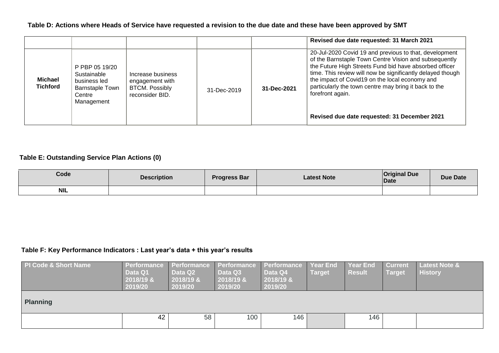|                            |                                                                                                 |                                                                                  |             |             | Revised due date requested: 31 March 2021                                                                                                                                                                                                                                                                                                                                                                              |
|----------------------------|-------------------------------------------------------------------------------------------------|----------------------------------------------------------------------------------|-------------|-------------|------------------------------------------------------------------------------------------------------------------------------------------------------------------------------------------------------------------------------------------------------------------------------------------------------------------------------------------------------------------------------------------------------------------------|
| Michael<br><b>Tichford</b> | P PBP 05 19/20<br>Sustainable<br>business led<br><b>Barnstaple Town</b><br>Centre<br>Management | Increase business<br>engagement with<br><b>BTCM. Possibly</b><br>reconsider BID. | 31-Dec-2019 | 31-Dec-2021 | 20-Jul-2020 Covid 19 and previous to that, development<br>of the Barnstaple Town Centre Vision and subsequently<br>the Future High Streets Fund bid have absorbed officer<br>time. This review will now be significantly delayed though<br>the impact of Covid19 on the local economy and<br>particularly the town centre may bring it back to the<br>forefront again.<br>Revised due date requested: 31 December 2021 |

#### **Table E: Outstanding Service Plan Actions (0)**

| Code       | <b>Description</b> | <b>Progress Bar</b> | Latest Note | <b>Original Due</b><br>Date | Due Date |
|------------|--------------------|---------------------|-------------|-----------------------------|----------|
| <b>NIL</b> |                    |                     |             |                             |          |

### **Table F: Key Performance Indicators : Last year's data + this year's results**

| <b>PI Code &amp; Short Name</b> | <b>Performance</b><br>Data Q1<br>2018/19 &<br>2019/20 | <b>Performance</b><br>Data Q2<br>2018/19 &<br>2019/20 | Performance<br>Data Q3<br>2018/19 &<br>2019/20 | Performance<br>Data Q4<br>$2018/19$ &<br>2019/20 | <b>Year End</b><br>Target | <b>Year End</b><br><b>Result</b> | <b>Current</b><br>Target | Latest Note &<br><b>History</b> |  |  |  |
|---------------------------------|-------------------------------------------------------|-------------------------------------------------------|------------------------------------------------|--------------------------------------------------|---------------------------|----------------------------------|--------------------------|---------------------------------|--|--|--|
| <b>Planning</b>                 |                                                       |                                                       |                                                |                                                  |                           |                                  |                          |                                 |  |  |  |
|                                 | 42                                                    | 58                                                    | 100                                            | 146                                              |                           | 146                              |                          |                                 |  |  |  |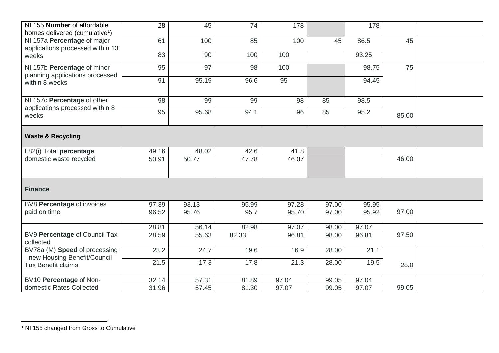| NI 155 Number of affordable                                     | 28    | 45    | 74    | 178   |       | 178   |       |  |
|-----------------------------------------------------------------|-------|-------|-------|-------|-------|-------|-------|--|
| homes delivered (cumulative <sup>1</sup> )                      |       |       |       |       |       |       |       |  |
| NI 157a Percentage of major<br>applications processed within 13 | 61    | 100   | 85    | 100   | 45    | 86.5  | 45    |  |
| weeks                                                           | 83    | 90    | 100   | 100   |       | 93.25 |       |  |
| NI 157b Percentage of minor<br>planning applications processed  | 95    | 97    | 98    | 100   |       | 98.75 | 75    |  |
| within 8 weeks                                                  | 91    | 95.19 | 96.6  | 95    |       | 94.45 |       |  |
| NI 157c Percentage of other                                     | 98    | 99    | 99    | 98    | 85    | 98.5  |       |  |
| applications processed within 8<br>weeks                        | 95    | 95.68 | 94.1  | 96    | 85    | 95.2  | 85.00 |  |
| <b>Waste &amp; Recycling</b>                                    |       |       |       |       |       |       |       |  |
| L82(i) Total percentage                                         | 49.16 | 48.02 | 42.6  | 41.8  |       |       |       |  |
| domestic waste recycled                                         | 50.91 | 50.77 | 47.78 | 46.07 |       |       | 46.00 |  |
| <b>Finance</b>                                                  |       |       |       |       |       |       |       |  |
| BV8 Percentage of invoices                                      | 97.39 | 93.13 | 95.99 | 97.28 | 97.00 | 95.95 |       |  |
| paid on time                                                    | 96.52 | 95.76 | 95.7  | 95.70 | 97.00 | 95.92 | 97.00 |  |
|                                                                 | 28.81 | 56.14 | 82.98 | 97.07 | 98.00 | 97.07 |       |  |
| BV9 Percentage of Council Tax<br>collected                      | 28.59 | 55.63 | 82.33 | 96.81 | 98.00 | 96.81 | 97.50 |  |
| BV78a (M) Speed of processing<br>- new Housing Benefit/Council  | 23.2  | 24.7  | 19.6  | 16.9  | 28.00 | 21.1  |       |  |
| <b>Tax Benefit claims</b>                                       | 21.5  | 17.3  | 17.8  | 21.3  | 28.00 | 19.5  | 28.0  |  |
| BV10 Percentage of Non-                                         | 32.14 | 57.31 | 81.89 | 97.04 | 99.05 | 97.04 |       |  |
| domestic Rates Collected                                        | 31.96 | 57.45 | 81.30 | 97.07 | 99.05 | 97.07 | 99.05 |  |

 $\overline{a}$ 

<sup>&</sup>lt;sup>1</sup> NI 155 changed from Gross to Cumulative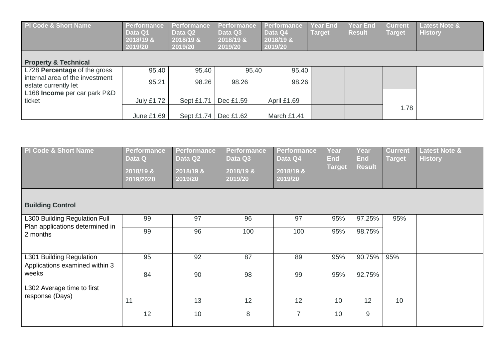| <b>PI Code &amp; Short Name</b>                         | Performance<br>Data Q1<br>2018/19 &<br>2019/20 | Performance<br>Data Q2<br>2018/19 &<br>2019/20 | <b>Performance</b><br>Data Q3<br>2018/19 &<br>2019/20 | <b>Performance</b><br>Data Q4<br>2018/19 &<br>2019/20 | <b>Year End</b><br><b>Target</b> | <b>Year End</b><br><b>Result</b> | <b>Current</b><br><b>Target</b> | <b>Latest Note &amp;</b><br><b>History</b> |
|---------------------------------------------------------|------------------------------------------------|------------------------------------------------|-------------------------------------------------------|-------------------------------------------------------|----------------------------------|----------------------------------|---------------------------------|--------------------------------------------|
| <b>Property &amp; Technical</b>                         |                                                |                                                |                                                       |                                                       |                                  |                                  |                                 |                                            |
| L728 Percentage of the gross                            | 95.40                                          | 95.40                                          | 95.40                                                 | 95.40                                                 |                                  |                                  |                                 |                                            |
| internal area of the investment<br>estate currently let | 95.21                                          | 98.26                                          | 98.26                                                 | 98.26                                                 |                                  |                                  |                                 |                                            |
| L168 Income per car park P&D                            |                                                |                                                |                                                       |                                                       |                                  |                                  |                                 |                                            |
| ticket                                                  | <b>July £1.72</b>                              | Sept £1.71                                     | Dec £1.59                                             | April £1.69                                           |                                  |                                  |                                 |                                            |
|                                                         | June £1.69                                     | Sept £1.74                                     | Dec £1.62                                             | March £1.41                                           |                                  |                                  | 1.78                            |                                            |

| PI Code & Short Name                                       | <b>Performance</b><br>Data Q<br>2018/19 &<br>2019/2020 | <b>Performance</b><br>Data Q2<br>2018/19 &<br>2019/20 | <b>Performance</b><br>Data Q3<br>2018/19 &<br>2019/20 | <b>Performance</b><br>Data Q4<br>2018/19 &<br>2019/20 | Year<br><b>End</b><br><b>Target</b> | Year<br><b>End</b><br><b>Result</b> | <b>Current</b><br><b>Target</b> | <b>Latest Note &amp;</b><br><b>History</b> |
|------------------------------------------------------------|--------------------------------------------------------|-------------------------------------------------------|-------------------------------------------------------|-------------------------------------------------------|-------------------------------------|-------------------------------------|---------------------------------|--------------------------------------------|
| <b>Building Control</b>                                    |                                                        |                                                       |                                                       |                                                       |                                     |                                     |                                 |                                            |
| L300 Building Regulation Full                              | 99                                                     | 97                                                    | 96                                                    | 97                                                    | 95%                                 | 97.25%                              | 95%                             |                                            |
| Plan applications determined in<br>2 months                | 99                                                     | 96                                                    | 100                                                   | 100                                                   | 95%                                 | 98.75%                              |                                 |                                            |
| L301 Building Regulation<br>Applications examined within 3 | 95                                                     | 92                                                    | 87                                                    | 89                                                    | 95%                                 | 90.75%                              | 95%                             |                                            |
| weeks                                                      | 84                                                     | 90                                                    | 98                                                    | 99                                                    | 95%                                 | 92.75%                              |                                 |                                            |
| L302 Average time to first<br>response (Days)              |                                                        |                                                       |                                                       |                                                       |                                     |                                     |                                 |                                            |
|                                                            | 11                                                     | 13                                                    | 12                                                    | 12                                                    | 10                                  | 12                                  | 10                              |                                            |
|                                                            | 12                                                     | 10                                                    | 8                                                     | $\overline{7}$                                        | 10                                  | 9                                   |                                 |                                            |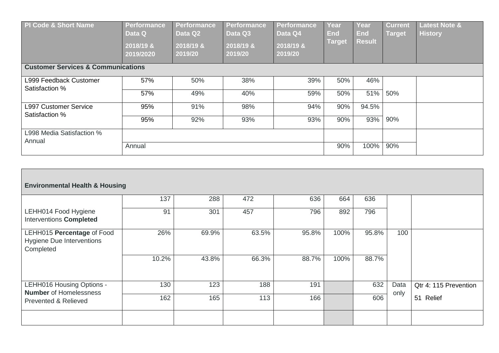| PI Code & Short Name<br><b>Customer Services &amp; Communications</b> | <b>Performance</b><br>Data Q<br>2018/19 &<br>2019/2020 | Performance<br>Data Q2<br>2018/19 &<br>2019/20 | Performance<br>Data Q3<br>2018/19 &<br>2019/20 | <b>Performance</b><br>Data Q4<br>2018/19 &<br>2019/20 | Year<br>End<br>Target | Year<br><b>End</b><br><b>Result</b> | <b>Current</b><br><b>Target</b> | <b>Latest Note &amp;</b><br><b>History</b> |
|-----------------------------------------------------------------------|--------------------------------------------------------|------------------------------------------------|------------------------------------------------|-------------------------------------------------------|-----------------------|-------------------------------------|---------------------------------|--------------------------------------------|
|                                                                       |                                                        |                                                |                                                |                                                       |                       |                                     |                                 |                                            |
| L999 Feedback Customer<br>Satisfaction %                              | 57%                                                    | 50%                                            | 38%                                            | 39%                                                   | 50%                   | 46%                                 |                                 |                                            |
|                                                                       | 57%                                                    | 49%                                            | 40%                                            | 59%                                                   | 50%                   | 51%                                 | 50%                             |                                            |
| <b>L997 Customer Service</b><br>Satisfaction %                        | 95%                                                    | 91%                                            | 98%                                            | 94%                                                   | 90%                   | 94.5%                               |                                 |                                            |
|                                                                       | 95%                                                    | 92%                                            | 93%                                            | 93%                                                   | 90%                   | 93%                                 | 90%                             |                                            |
| L998 Media Satisfaction %<br>Annual                                   |                                                        |                                                |                                                |                                                       |                       |                                     |                                 |                                            |
|                                                                       | Annual                                                 |                                                |                                                |                                                       | 90%                   | 100%                                | 90%                             |                                            |

| <b>Environmental Health &amp; Housing</b>                                   |       |       |       |       |      |       |      |                       |
|-----------------------------------------------------------------------------|-------|-------|-------|-------|------|-------|------|-----------------------|
|                                                                             | 137   | 288   | 472   | 636   | 664  | 636   |      |                       |
| LEHH014 Food Hygiene<br><b>Interventions Completed</b>                      | 91    | 301   | 457   | 796   | 892  | 796   |      |                       |
| LEHH015 Percentage of Food<br><b>Hygiene Due Interventions</b><br>Completed | 26%   | 69.9% | 63.5% | 95.8% | 100% | 95.8% | 100  |                       |
|                                                                             | 10.2% | 43.8% | 66.3% | 88.7% | 100% | 88.7% |      |                       |
| LEHH016 Housing Options -                                                   | 130   | 123   | 188   | 191   |      | 632   | Data | Qtr 4: 115 Prevention |
| <b>Number</b> of Homelessness<br><b>Prevented &amp; Relieved</b>            | 162   | 165   | 113   | 166   |      | 606   | only | 51<br>Relief          |
|                                                                             |       |       |       |       |      |       |      |                       |